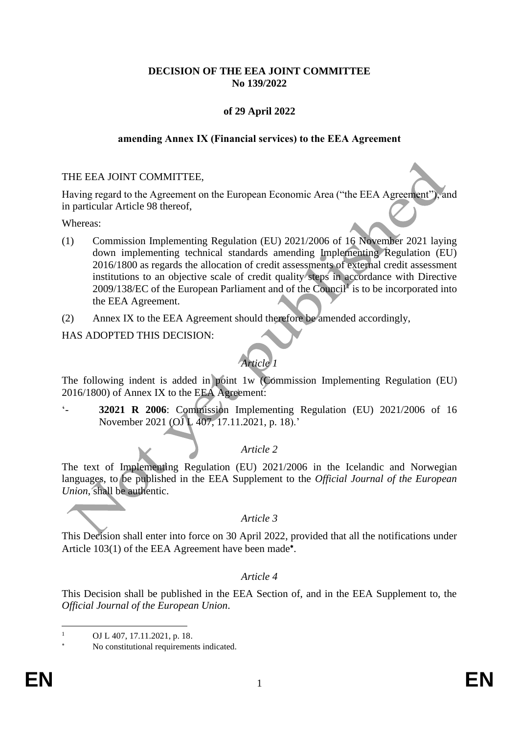### **DECISION OF THE EEA JOINT COMMITTEE No 139/2022**

## **of 29 April 2022**

#### **amending Annex IX (Financial services) to the EEA Agreement**

#### THE EEA JOINT COMMITTEE,

Having regard to the Agreement on the European Economic Area ("the EEA Agreement"), and in particular Article 98 thereof,

Whereas:

- (1) Commission Implementing Regulation (EU) 2021/2006 of 16 November 2021 laying down implementing technical standards amending Implementing Regulation (EU) 2016/1800 as regards the allocation of credit assessments of external credit assessment institutions to an objective scale of credit quality steps in accordance with Directive 2009/138/EC of the European Parliament and of the Council<sup>1</sup> is to be incorporated into the EEA Agreement.
- (2) Annex IX to the EEA Agreement should therefore be amended accordingly,

#### HAS ADOPTED THIS DECISION:

# *Article 1*

The following indent is added in point 1w (Commission Implementing Regulation (EU) 2016/1800) of Annex IX to the EEA Agreement:

'- **32021 R 2006**: Commission Implementing Regulation (EU) 2021/2006 of 16 November 2021 (OJ L 407, 17.11.2021, p. 18).'

## *Article 2*

The text of Implementing Regulation (EU) 2021/2006 in the Icelandic and Norwegian languages, to be published in the EEA Supplement to the *Official Journal of the European Union*, shall be authentic.

#### *Article 3*

This Decision shall enter into force on 30 April 2022, provided that all the notifications under Article 103(1) of the EEA Agreement have been made<sup>\*</sup>.

#### *Article 4*

This Decision shall be published in the EEA Section of, and in the EEA Supplement to, the *Official Journal of the European Union*.

OJ L 407, 17.11.2021, p. 18.

No constitutional requirements indicated.